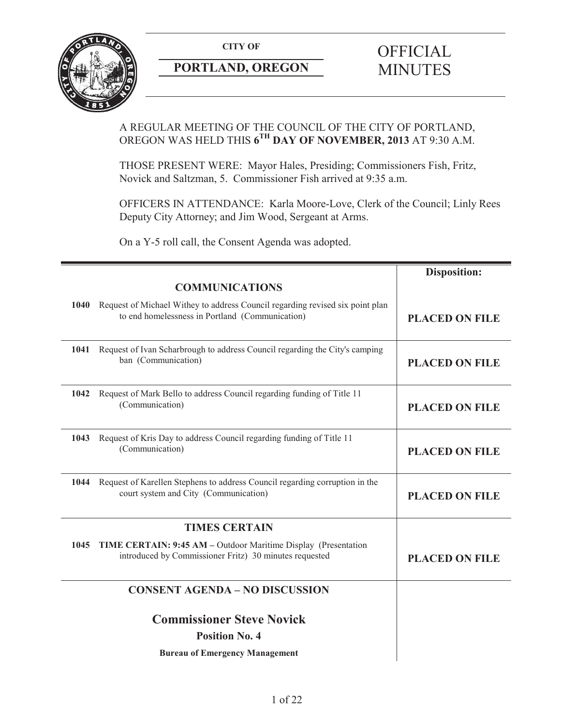

# **PORTLAND, OREGON MINUTES**

# **CITY OF** OFFICIAL

# A REGULAR MEETING OF THE COUNCIL OF THE CITY OF PORTLAND, OREGON WAS HELD THIS **6TH DAY OF NOVEMBER, 2013** AT 9:30 A.M.

THOSE PRESENT WERE: Mayor Hales, Presiding; Commissioners Fish, Fritz, Novick and Saltzman, 5. Commissioner Fish arrived at 9:35 a.m.

OFFICERS IN ATTENDANCE: Karla Moore-Love, Clerk of the Council; Linly Rees Deputy City Attorney; and Jim Wood, Sergeant at Arms.

On a Y-5 roll call, the Consent Agenda was adopted.

|      | <b>COMMUNICATIONS</b>                                                                                                                 | <b>Disposition:</b>   |
|------|---------------------------------------------------------------------------------------------------------------------------------------|-----------------------|
|      | 1040 Request of Michael Withey to address Council regarding revised six point plan<br>to end homelessness in Portland (Communication) | <b>PLACED ON FILE</b> |
| 1041 | Request of Ivan Scharbrough to address Council regarding the City's camping<br>ban (Communication)                                    | <b>PLACED ON FILE</b> |
| 1042 | Request of Mark Bello to address Council regarding funding of Title 11<br>(Communication)                                             | <b>PLACED ON FILE</b> |
| 1043 | Request of Kris Day to address Council regarding funding of Title 11<br>(Communication)                                               | <b>PLACED ON FILE</b> |
|      | 1044 Request of Karellen Stephens to address Council regarding corruption in the<br>court system and City (Communication)             | <b>PLACED ON FILE</b> |
|      | <b>TIMES CERTAIN</b>                                                                                                                  |                       |
| 1045 | TIME CERTAIN: 9:45 AM - Outdoor Maritime Display (Presentation<br>introduced by Commissioner Fritz) 30 minutes requested              | <b>PLACED ON FILE</b> |
|      | <b>CONSENT AGENDA - NO DISCUSSION</b>                                                                                                 |                       |
|      | <b>Commissioner Steve Novick</b>                                                                                                      |                       |
|      | <b>Position No. 4</b>                                                                                                                 |                       |
|      | <b>Bureau of Emergency Management</b>                                                                                                 |                       |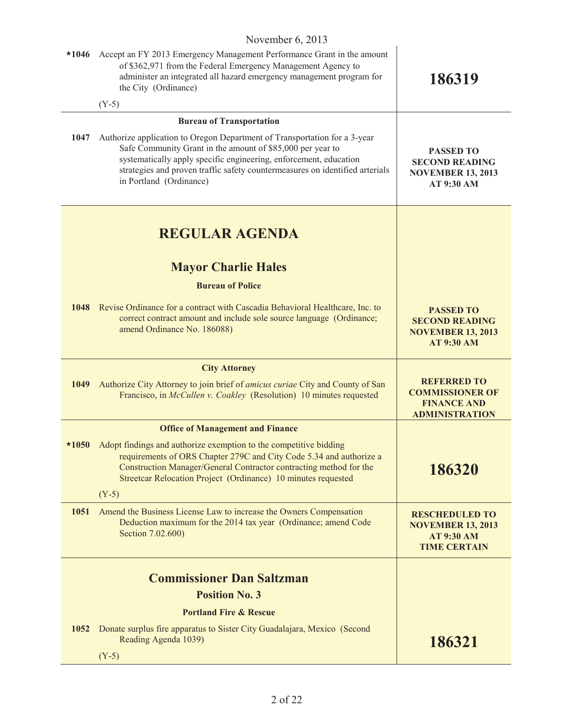|         | 1101110010, 2010                                                                                                                                                                                                                                                                                                        |                                                                                               |
|---------|-------------------------------------------------------------------------------------------------------------------------------------------------------------------------------------------------------------------------------------------------------------------------------------------------------------------------|-----------------------------------------------------------------------------------------------|
| $*1046$ | Accept an FY 2013 Emergency Management Performance Grant in the amount<br>of \$362,971 from the Federal Emergency Management Agency to<br>administer an integrated all hazard emergency management program for<br>the City (Ordinance)                                                                                  | 186319                                                                                        |
|         | $(Y-5)$                                                                                                                                                                                                                                                                                                                 |                                                                                               |
|         | <b>Bureau of Transportation</b>                                                                                                                                                                                                                                                                                         |                                                                                               |
| 1047    | Authorize application to Oregon Department of Transportation for a 3-year<br>Safe Community Grant in the amount of \$85,000 per year to<br>systematically apply specific engineering, enforcement, education<br>strategies and proven traffic safety countermeasures on identified arterials<br>in Portland (Ordinance) | <b>PASSED TO</b><br><b>SECOND READING</b><br><b>NOVEMBER 13, 2013</b><br>AT 9:30 AM           |
|         | <b>REGULAR AGENDA</b>                                                                                                                                                                                                                                                                                                   |                                                                                               |
|         | <b>Mayor Charlie Hales</b>                                                                                                                                                                                                                                                                                              |                                                                                               |
|         | <b>Bureau of Police</b>                                                                                                                                                                                                                                                                                                 |                                                                                               |
|         | 1048 Revise Ordinance for a contract with Cascadia Behavioral Healthcare, Inc. to<br>correct contract amount and include sole source language (Ordinance;<br>amend Ordinance No. 186088)                                                                                                                                | <b>PASSED TO</b><br><b>SECOND READING</b><br><b>NOVEMBER 13, 2013</b><br><b>AT 9:30 AM</b>    |
|         | <b>City Attorney</b>                                                                                                                                                                                                                                                                                                    |                                                                                               |
| 1049    | Authorize City Attorney to join brief of <i>amicus curiae</i> City and County of San<br>Francisco, in McCullen v. Coakley (Resolution) 10 minutes requested                                                                                                                                                             | <b>REFERRED TO</b><br><b>COMMISSIONER OF</b><br><b>FINANCE AND</b><br><b>ADMINISTRATION</b>   |
|         | <b>Office of Management and Finance</b>                                                                                                                                                                                                                                                                                 |                                                                                               |
| $*1050$ | Adopt findings and authorize exemption to the competitive bidding<br>requirements of ORS Chapter 279C and City Code 5.34 and authorize a<br>Construction Manager/General Contractor contracting method for the<br>Streetcar Relocation Project (Ordinance) 10 minutes requested<br>$(Y-5)$                              | 186320                                                                                        |
| 1051    | Amend the Business License Law to increase the Owners Compensation<br>Deduction maximum for the 2014 tax year (Ordinance; amend Code<br>Section 7.02.600)                                                                                                                                                               | <b>RESCHEDULED TO</b><br><b>NOVEMBER 13, 2013</b><br><b>AT 9:30 AM</b><br><b>TIME CERTAIN</b> |
|         | <b>Commissioner Dan Saltzman</b>                                                                                                                                                                                                                                                                                        |                                                                                               |
|         | <b>Position No. 3</b>                                                                                                                                                                                                                                                                                                   |                                                                                               |
|         | <b>Portland Fire &amp; Rescue</b>                                                                                                                                                                                                                                                                                       |                                                                                               |
| 1052    | Donate surplus fire apparatus to Sister City Guadalajara, Mexico (Second<br>Reading Agenda 1039)                                                                                                                                                                                                                        | 186321                                                                                        |
|         | $(Y-5)$                                                                                                                                                                                                                                                                                                                 |                                                                                               |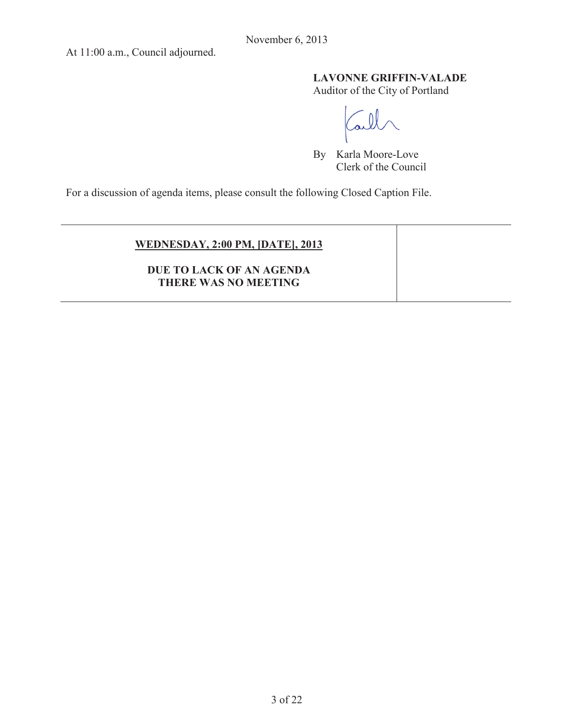At 11:00 a.m., Council adjourned.

# **LAVONNE GRIFFIN-VALADE**

Auditor of the City of Portland

By Karla Moore-Love Clerk of the Council

For a discussion of agenda items, please consult the following Closed Caption File.

# **WEDNESDAY, 2:00 PM, [DATE], 2013**

**DUE TO LACK OF AN AGENDA THERE WAS NO MEETING**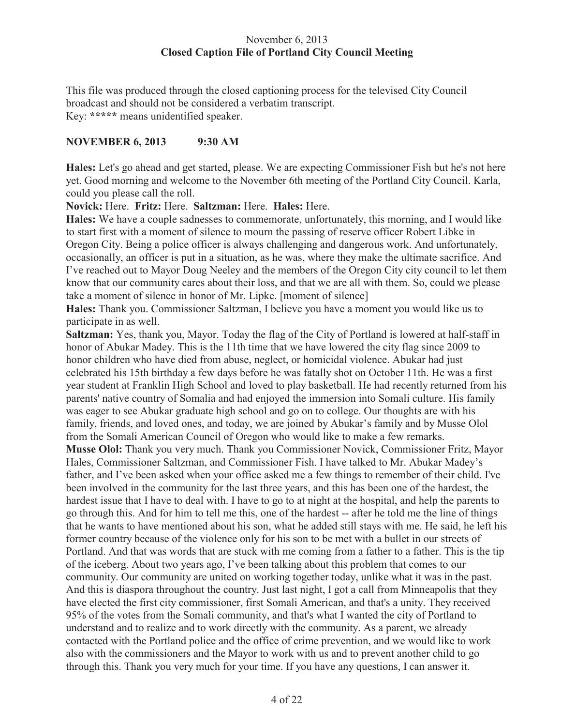# November 6, 2013 **Closed Caption File of Portland City Council Meeting**

This file was produced through the closed captioning process for the televised City Council broadcast and should not be considered a verbatim transcript. Key: **\*\*\*\*\*** means unidentified speaker.

# **NOVEMBER 6, 2013 9:30 AM**

**Hales:** Let's go ahead and get started, please. We are expecting Commissioner Fish but he's not here yet. Good morning and welcome to the November 6th meeting of the Portland City Council. Karla, could you please call the roll.

**Novick:** Here. **Fritz:** Here. **Saltzman:** Here. **Hales:** Here.

**Hales:** We have a couple sadnesses to commemorate, unfortunately, this morning, and I would like to start first with a moment of silence to mourn the passing of reserve officer Robert Libke in Oregon City. Being a police officer is always challenging and dangerous work. And unfortunately, occasionally, an officer is put in a situation, as he was, where they make the ultimate sacrifice. And I've reached out to Mayor Doug Neeley and the members of the Oregon City city council to let them know that our community cares about their loss, and that we are all with them. So, could we please take a moment of silence in honor of Mr. Lipke. [moment of silence]

**Hales:** Thank you. Commissioner Saltzman, I believe you have a moment you would like us to participate in as well.

**Saltzman:** Yes, thank you, Mayor. Today the flag of the City of Portland is lowered at half-staff in honor of Abukar Madey. This is the 11th time that we have lowered the city flag since 2009 to honor children who have died from abuse, neglect, or homicidal violence. Abukar had just celebrated his 15th birthday a few days before he was fatally shot on October 11th. He was a first year student at Franklin High School and loved to play basketball. He had recently returned from his parents' native country of Somalia and had enjoyed the immersion into Somali culture. His family was eager to see Abukar graduate high school and go on to college. Our thoughts are with his family, friends, and loved ones, and today, we are joined by Abukar's family and by Musse Olol from the Somali American Council of Oregon who would like to make a few remarks. **Musse Olol:** Thank you very much. Thank you Commissioner Novick, Commissioner Fritz, Mayor Hales, Commissioner Saltzman, and Commissioner Fish. I have talked to Mr. Abukar Madey's father, and I've been asked when your office asked me a few things to remember of their child. I've been involved in the community for the last three years, and this has been one of the hardest, the hardest issue that I have to deal with. I have to go to at night at the hospital, and help the parents to go through this. And for him to tell me this, one of the hardest -- after he told me the line of things that he wants to have mentioned about his son, what he added still stays with me. He said, he left his former country because of the violence only for his son to be met with a bullet in our streets of Portland. And that was words that are stuck with me coming from a father to a father. This is the tip of the iceberg. About two years ago, I've been talking about this problem that comes to our community. Our community are united on working together today, unlike what it was in the past. And this is diaspora throughout the country. Just last night, I got a call from Minneapolis that they have elected the first city commissioner, first Somali American, and that's a unity. They received 95% of the votes from the Somali community, and that's what I wanted the city of Portland to understand and to realize and to work directly with the community. As a parent, we already contacted with the Portland police and the office of crime prevention, and we would like to work also with the commissioners and the Mayor to work with us and to prevent another child to go through this. Thank you very much for your time. If you have any questions, I can answer it.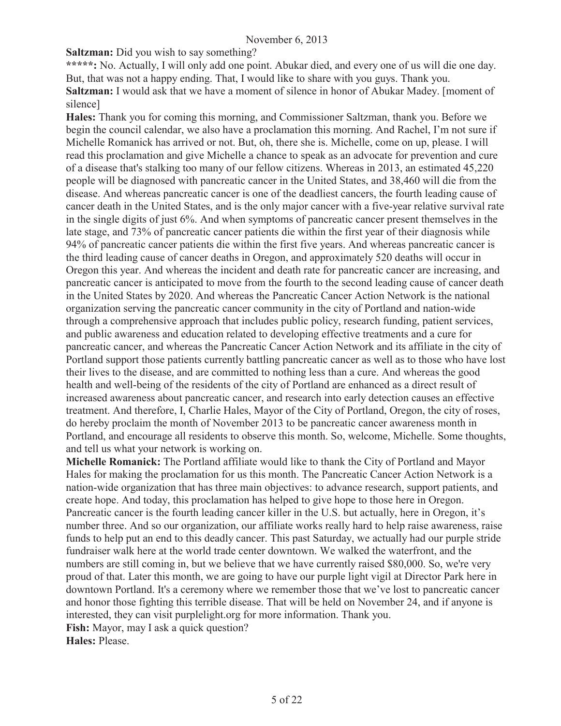**Saltzman:** Did you wish to say something?

**\*\*\*\*\*:** No. Actually, I will only add one point. Abukar died, and every one of us will die one day. But, that was not a happy ending. That, I would like to share with you guys. Thank you. **Saltzman:** I would ask that we have a moment of silence in honor of Abukar Madey. [moment of silence]

**Hales:** Thank you for coming this morning, and Commissioner Saltzman, thank you. Before we begin the council calendar, we also have a proclamation this morning. And Rachel, I'm not sure if Michelle Romanick has arrived or not. But, oh, there she is. Michelle, come on up, please. I will read this proclamation and give Michelle a chance to speak as an advocate for prevention and cure of a disease that's stalking too many of our fellow citizens. Whereas in 2013, an estimated 45,220 people will be diagnosed with pancreatic cancer in the United States, and 38,460 will die from the disease. And whereas pancreatic cancer is one of the deadliest cancers, the fourth leading cause of cancer death in the United States, and is the only major cancer with a five-year relative survival rate in the single digits of just 6%. And when symptoms of pancreatic cancer present themselves in the late stage, and 73% of pancreatic cancer patients die within the first year of their diagnosis while 94% of pancreatic cancer patients die within the first five years. And whereas pancreatic cancer is the third leading cause of cancer deaths in Oregon, and approximately 520 deaths will occur in Oregon this year. And whereas the incident and death rate for pancreatic cancer are increasing, and pancreatic cancer is anticipated to move from the fourth to the second leading cause of cancer death in the United States by 2020. And whereas the Pancreatic Cancer Action Network is the national organization serving the pancreatic cancer community in the city of Portland and nation-wide through a comprehensive approach that includes public policy, research funding, patient services, and public awareness and education related to developing effective treatments and a cure for pancreatic cancer, and whereas the Pancreatic Cancer Action Network and its affiliate in the city of Portland support those patients currently battling pancreatic cancer as well as to those who have lost their lives to the disease, and are committed to nothing less than a cure. And whereas the good health and well-being of the residents of the city of Portland are enhanced as a direct result of increased awareness about pancreatic cancer, and research into early detection causes an effective treatment. And therefore, I, Charlie Hales, Mayor of the City of Portland, Oregon, the city of roses, do hereby proclaim the month of November 2013 to be pancreatic cancer awareness month in Portland, and encourage all residents to observe this month. So, welcome, Michelle. Some thoughts, and tell us what your network is working on.

**Michelle Romanick:** The Portland affiliate would like to thank the City of Portland and Mayor Hales for making the proclamation for us this month. The Pancreatic Cancer Action Network is a nation-wide organization that has three main objectives: to advance research, support patients, and create hope. And today, this proclamation has helped to give hope to those here in Oregon. Pancreatic cancer is the fourth leading cancer killer in the U.S. but actually, here in Oregon, it's number three. And so our organization, our affiliate works really hard to help raise awareness, raise funds to help put an end to this deadly cancer. This past Saturday, we actually had our purple stride fundraiser walk here at the world trade center downtown. We walked the waterfront, and the numbers are still coming in, but we believe that we have currently raised \$80,000. So, we're very proud of that. Later this month, we are going to have our purple light vigil at Director Park here in downtown Portland. It's a ceremony where we remember those that we've lost to pancreatic cancer and honor those fighting this terrible disease. That will be held on November 24, and if anyone is interested, they can visit purplelight.org for more information. Thank you. **Fish:** Mayor, may I ask a quick question?

**Hales:** Please.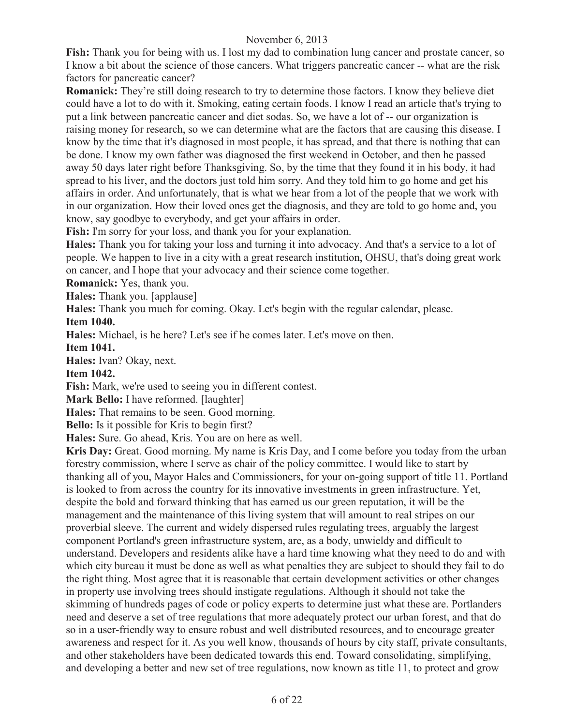**Fish:** Thank you for being with us. I lost my dad to combination lung cancer and prostate cancer, so I know a bit about the science of those cancers. What triggers pancreatic cancer -- what are the risk factors for pancreatic cancer?

**Romanick:** They're still doing research to try to determine those factors. I know they believe diet could have a lot to do with it. Smoking, eating certain foods. I know I read an article that's trying to put a link between pancreatic cancer and diet sodas. So, we have a lot of -- our organization is raising money for research, so we can determine what are the factors that are causing this disease. I know by the time that it's diagnosed in most people, it has spread, and that there is nothing that can be done. I know my own father was diagnosed the first weekend in October, and then he passed away 50 days later right before Thanksgiving. So, by the time that they found it in his body, it had spread to his liver, and the doctors just told him sorry. And they told him to go home and get his affairs in order. And unfortunately, that is what we hear from a lot of the people that we work with in our organization. How their loved ones get the diagnosis, and they are told to go home and, you know, say goodbye to everybody, and get your affairs in order.

Fish: I'm sorry for your loss, and thank you for your explanation.

**Hales:** Thank you for taking your loss and turning it into advocacy. And that's a service to a lot of people. We happen to live in a city with a great research institution, OHSU, that's doing great work on cancer, and I hope that your advocacy and their science come together.

**Romanick:** Yes, thank you.

**Hales:** Thank you. [applause]

**Hales:** Thank you much for coming. Okay. Let's begin with the regular calendar, please.

**Item 1040.**

**Hales:** Michael, is he here? Let's see if he comes later. Let's move on then.

**Item 1041.**

**Hales:** Ivan? Okay, next.

**Item 1042.**

**Fish:** Mark, we're used to seeing you in different contest.

**Mark Bello:** I have reformed. [laughter]

**Hales:** That remains to be seen. Good morning.

**Bello:** Is it possible for Kris to begin first?

**Hales:** Sure. Go ahead, Kris. You are on here as well.

**Kris Day:** Great. Good morning. My name is Kris Day, and I come before you today from the urban forestry commission, where I serve as chair of the policy committee. I would like to start by thanking all of you, Mayor Hales and Commissioners, for your on-going support of title 11. Portland is looked to from across the country for its innovative investments in green infrastructure. Yet, despite the bold and forward thinking that has earned us our green reputation, it will be the management and the maintenance of this living system that will amount to real stripes on our proverbial sleeve. The current and widely dispersed rules regulating trees, arguably the largest component Portland's green infrastructure system, are, as a body, unwieldy and difficult to understand. Developers and residents alike have a hard time knowing what they need to do and with which city bureau it must be done as well as what penalties they are subject to should they fail to do the right thing. Most agree that it is reasonable that certain development activities or other changes in property use involving trees should instigate regulations. Although it should not take the skimming of hundreds pages of code or policy experts to determine just what these are. Portlanders need and deserve a set of tree regulations that more adequately protect our urban forest, and that do so in a user-friendly way to ensure robust and well distributed resources, and to encourage greater awareness and respect for it. As you well know, thousands of hours by city staff, private consultants, and other stakeholders have been dedicated towards this end. Toward consolidating, simplifying, and developing a better and new set of tree regulations, now known as title 11, to protect and grow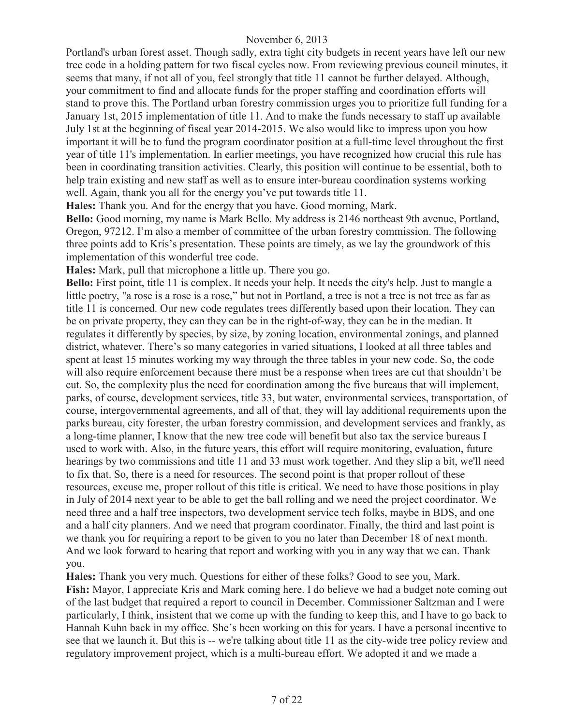Portland's urban forest asset. Though sadly, extra tight city budgets in recent years have left our new tree code in a holding pattern for two fiscal cycles now. From reviewing previous council minutes, it seems that many, if not all of you, feel strongly that title 11 cannot be further delayed. Although, your commitment to find and allocate funds for the proper staffing and coordination efforts will stand to prove this. The Portland urban forestry commission urges you to prioritize full funding for a January 1st, 2015 implementation of title 11. And to make the funds necessary to staff up available July 1st at the beginning of fiscal year 2014-2015. We also would like to impress upon you how important it will be to fund the program coordinator position at a full-time level throughout the first year of title 11's implementation. In earlier meetings, you have recognized how crucial this rule has been in coordinating transition activities. Clearly, this position will continue to be essential, both to help train existing and new staff as well as to ensure inter-bureau coordination systems working well. Again, thank you all for the energy you've put towards title 11.

**Hales:** Thank you. And for the energy that you have. Good morning, Mark.

**Bello:** Good morning, my name is Mark Bello. My address is 2146 northeast 9th avenue, Portland, Oregon, 97212. I'm also a member of committee of the urban forestry commission. The following three points add to Kris's presentation. These points are timely, as we lay the groundwork of this implementation of this wonderful tree code.

**Hales:** Mark, pull that microphone a little up. There you go.

**Bello:** First point, title 11 is complex. It needs your help. It needs the city's help. Just to mangle a little poetry, "a rose is a rose is a rose," but not in Portland, a tree is not a tree is not tree as far as title 11 is concerned. Our new code regulates trees differently based upon their location. They can be on private property, they can they can be in the right-of-way, they can be in the median. It regulates it differently by species, by size, by zoning location, environmental zonings, and planned district, whatever. There's so many categories in varied situations, I looked at all three tables and spent at least 15 minutes working my way through the three tables in your new code. So, the code will also require enforcement because there must be a response when trees are cut that shouldn't be cut. So, the complexity plus the need for coordination among the five bureaus that will implement, parks, of course, development services, title 33, but water, environmental services, transportation, of course, intergovernmental agreements, and all of that, they will lay additional requirements upon the parks bureau, city forester, the urban forestry commission, and development services and frankly, as a long-time planner, I know that the new tree code will benefit but also tax the service bureaus I used to work with. Also, in the future years, this effort will require monitoring, evaluation, future hearings by two commissions and title 11 and 33 must work together. And they slip a bit, we'll need to fix that. So, there is a need for resources. The second point is that proper rollout of these resources, excuse me, proper rollout of this title is critical. We need to have those positions in play in July of 2014 next year to be able to get the ball rolling and we need the project coordinator. We need three and a half tree inspectors, two development service tech folks, maybe in BDS, and one and a half city planners. And we need that program coordinator. Finally, the third and last point is we thank you for requiring a report to be given to you no later than December 18 of next month. And we look forward to hearing that report and working with you in any way that we can. Thank you.

**Hales:** Thank you very much. Questions for either of these folks? Good to see you, Mark.

**Fish:** Mayor, I appreciate Kris and Mark coming here. I do believe we had a budget note coming out of the last budget that required a report to council in December. Commissioner Saltzman and I were particularly, I think, insistent that we come up with the funding to keep this, and I have to go back to Hannah Kuhn back in my office. She's been working on this for years. I have a personal incentive to see that we launch it. But this is -- we're talking about title 11 as the city-wide tree policy review and regulatory improvement project, which is a multi-bureau effort. We adopted it and we made a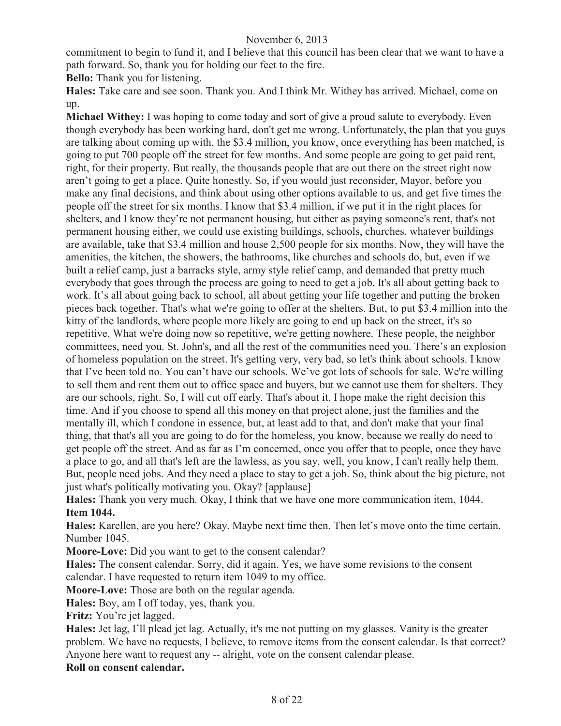commitment to begin to fund it, and I believe that this council has been clear that we want to have a path forward. So, thank you for holding our feet to the fire.

**Bello:** Thank you for listening.

**Hales:** Take care and see soon. Thank you. And I think Mr. Withey has arrived. Michael, come on up.

**Michael Withey:** I was hoping to come today and sort of give a proud salute to everybody. Even though everybody has been working hard, don't get me wrong. Unfortunately, the plan that you guys are talking about coming up with, the \$3.4 million, you know, once everything has been matched, is going to put 700 people off the street for few months. And some people are going to get paid rent, right, for their property. But really, the thousands people that are out there on the street right now aren't going to get a place. Quite honestly. So, if you would just reconsider, Mayor, before you make any final decisions, and think about using other options available to us, and get five times the people off the street for six months. I know that \$3.4 million, if we put it in the right places for shelters, and I know they're not permanent housing, but either as paying someone's rent, that's not permanent housing either, we could use existing buildings, schools, churches, whatever buildings are available, take that \$3.4 million and house 2,500 people for six months. Now, they will have the amenities, the kitchen, the showers, the bathrooms, like churches and schools do, but, even if we built a relief camp, just a barracks style, army style relief camp, and demanded that pretty much everybody that goes through the process are going to need to get a job. It's all about getting back to work. It's all about going back to school, all about getting your life together and putting the broken pieces back together. That's what we're going to offer at the shelters. But, to put \$3.4 million into the kitty of the landlords, where people more likely are going to end up back on the street, it's so repetitive. What we're doing now so repetitive, we're getting nowhere. These people, the neighbor committees, need you. St. John's, and all the rest of the communities need you. There's an explosion of homeless population on the street. It's getting very, very bad, so let's think about schools. I know that I've been told no. You can't have our schools. We've got lots of schools for sale. We're willing to sell them and rent them out to office space and buyers, but we cannot use them for shelters. They are our schools, right. So, I will cut off early. That's about it. I hope make the right decision this time. And if you choose to spend all this money on that project alone, just the families and the mentally ill, which I condone in essence, but, at least add to that, and don't make that your final thing, that that's all you are going to do for the homeless, you know, because we really do need to get people off the street. And as far as I'm concerned, once you offer that to people, once they have a place to go, and all that's left are the lawless, as you say, well, you know, I can't really help them. But, people need jobs. And they need a place to stay to get a job. So, think about the big picture, not just what's politically motivating you. Okay? [applause]

**Hales:** Thank you very much. Okay, I think that we have one more communication item, 1044. **Item 1044.**

**Hales:** Karellen, are you here? Okay. Maybe next time then. Then let's move onto the time certain. Number 1045.

**Moore-Love:** Did you want to get to the consent calendar?

**Hales:** The consent calendar. Sorry, did it again. Yes, we have some revisions to the consent calendar. I have requested to return item 1049 to my office.

**Moore-Love:** Those are both on the regular agenda.

**Hales:** Boy, am I off today, yes, thank you.

**Fritz:** You're jet lagged.

**Hales:** Jet lag, I'll plead jet lag. Actually, it's me not putting on my glasses. Vanity is the greater problem. We have no requests, I believe, to remove items from the consent calendar. Is that correct? Anyone here want to request any -- alright, vote on the consent calendar please.

**Roll on consent calendar.**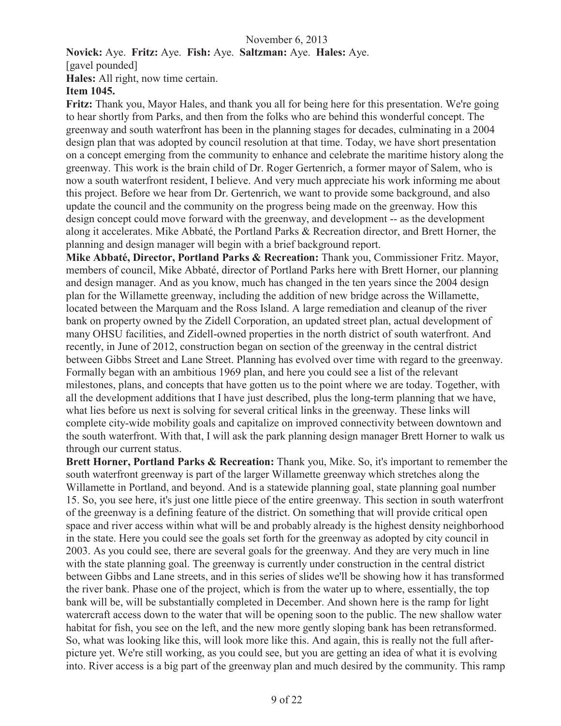**Novick:** Aye. **Fritz:** Aye. **Fish:** Aye. **Saltzman:** Aye. **Hales:** Aye.

[gavel pounded]

**Hales:** All right, now time certain.

# **Item 1045.**

**Fritz:** Thank you, Mayor Hales, and thank you all for being here for this presentation. We're going to hear shortly from Parks, and then from the folks who are behind this wonderful concept. The greenway and south waterfront has been in the planning stages for decades, culminating in a 2004 design plan that was adopted by council resolution at that time. Today, we have short presentation on a concept emerging from the community to enhance and celebrate the maritime history along the greenway. This work is the brain child of Dr. Roger Gertenrich, a former mayor of Salem, who is now a south waterfront resident, I believe. And very much appreciate his work informing me about this project. Before we hear from Dr. Gertenrich, we want to provide some background, and also update the council and the community on the progress being made on the greenway. How this design concept could move forward with the greenway, and development -- as the development along it accelerates. Mike Abbaté, the Portland Parks & Recreation director, and Brett Horner, the planning and design manager will begin with a brief background report.

**Mike Abbaté, Director, Portland Parks & Recreation:** Thank you, Commissioner Fritz. Mayor, members of council, Mike Abbaté, director of Portland Parks here with Brett Horner, our planning and design manager. And as you know, much has changed in the ten years since the 2004 design plan for the Willamette greenway, including the addition of new bridge across the Willamette, located between the Marquam and the Ross Island. A large remediation and cleanup of the river bank on property owned by the Zidell Corporation, an updated street plan, actual development of many OHSU facilities, and Zidell-owned properties in the north district of south waterfront. And recently, in June of 2012, construction began on section of the greenway in the central district between Gibbs Street and Lane Street. Planning has evolved over time with regard to the greenway. Formally began with an ambitious 1969 plan, and here you could see a list of the relevant milestones, plans, and concepts that have gotten us to the point where we are today. Together, with all the development additions that I have just described, plus the long-term planning that we have, what lies before us next is solving for several critical links in the greenway. These links will complete city-wide mobility goals and capitalize on improved connectivity between downtown and the south waterfront. With that, I will ask the park planning design manager Brett Horner to walk us through our current status.

**Brett Horner, Portland Parks & Recreation:** Thank you, Mike. So, it's important to remember the south waterfront greenway is part of the larger Willamette greenway which stretches along the Willamette in Portland, and beyond. And is a statewide planning goal, state planning goal number 15. So, you see here, it's just one little piece of the entire greenway. This section in south waterfront of the greenway is a defining feature of the district. On something that will provide critical open space and river access within what will be and probably already is the highest density neighborhood in the state. Here you could see the goals set forth for the greenway as adopted by city council in 2003. As you could see, there are several goals for the greenway. And they are very much in line with the state planning goal. The greenway is currently under construction in the central district between Gibbs and Lane streets, and in this series of slides we'll be showing how it has transformed the river bank. Phase one of the project, which is from the water up to where, essentially, the top bank will be, will be substantially completed in December. And shown here is the ramp for light watercraft access down to the water that will be opening soon to the public. The new shallow water habitat for fish, you see on the left, and the new more gently sloping bank has been retransformed. So, what was looking like this, will look more like this. And again, this is really not the full afterpicture yet. We're still working, as you could see, but you are getting an idea of what it is evolving into. River access is a big part of the greenway plan and much desired by the community. This ramp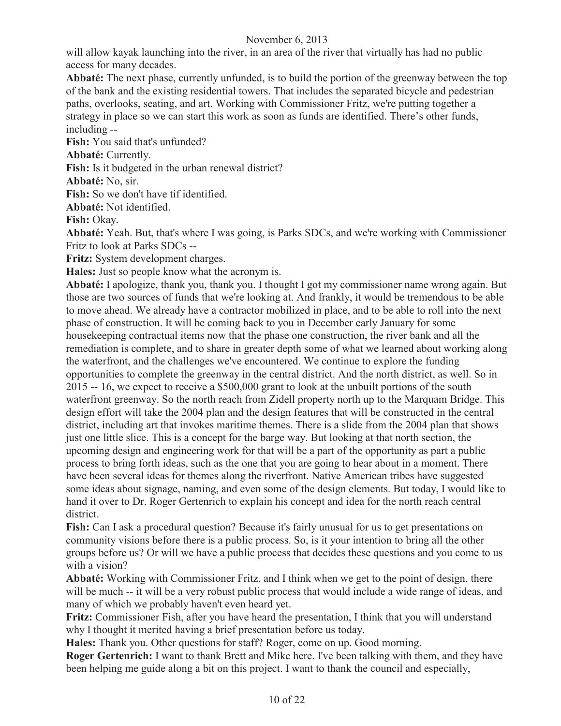will allow kayak launching into the river, in an area of the river that virtually has had no public access for many decades.

**Abbaté:** The next phase, currently unfunded, is to build the portion of the greenway between the top of the bank and the existing residential towers. That includes the separated bicycle and pedestrian paths, overlooks, seating, and art. Working with Commissioner Fritz, we're putting together a strategy in place so we can start this work as soon as funds are identified. There's other funds, including --

**Fish:** You said that's unfunded?

**Abbaté:** Currently.

**Fish:** Is it budgeted in the urban renewal district?

**Abbaté:** No, sir.

**Fish:** So we don't have tif identified.

**Abbaté:** Not identified.

**Fish:** Okay.

**Abbaté:** Yeah. But, that's where I was going, is Parks SDCs, and we're working with Commissioner Fritz to look at Parks SDCs --

**Fritz:** System development charges.

**Hales:** Just so people know what the acronym is.

**Abbaté:** I apologize, thank you, thank you. I thought I got my commissioner name wrong again. But those are two sources of funds that we're looking at. And frankly, it would be tremendous to be able to move ahead. We already have a contractor mobilized in place, and to be able to roll into the next phase of construction. It will be coming back to you in December early January for some housekeeping contractual items now that the phase one construction, the river bank and all the remediation is complete, and to share in greater depth some of what we learned about working along the waterfront, and the challenges we've encountered. We continue to explore the funding opportunities to complete the greenway in the central district. And the north district, as well. So in 2015 -- 16, we expect to receive a \$500,000 grant to look at the unbuilt portions of the south waterfront greenway. So the north reach from Zidell property north up to the Marquam Bridge. This design effort will take the 2004 plan and the design features that will be constructed in the central district, including art that invokes maritime themes. There is a slide from the 2004 plan that shows just one little slice. This is a concept for the barge way. But looking at that north section, the upcoming design and engineering work for that will be a part of the opportunity as part a public process to bring forth ideas, such as the one that you are going to hear about in a moment. There have been several ideas for themes along the riverfront. Native American tribes have suggested some ideas about signage, naming, and even some of the design elements. But today, I would like to hand it over to Dr. Roger Gertenrich to explain his concept and idea for the north reach central district.

**Fish:** Can I ask a procedural question? Because it's fairly unusual for us to get presentations on community visions before there is a public process. So, is it your intention to bring all the other groups before us? Or will we have a public process that decides these questions and you come to us with a vision?

**Abbaté:** Working with Commissioner Fritz, and I think when we get to the point of design, there will be much -- it will be a very robust public process that would include a wide range of ideas, and many of which we probably haven't even heard yet.

**Fritz:** Commissioner Fish, after you have heard the presentation, I think that you will understand why I thought it merited having a brief presentation before us today.

**Hales:** Thank you. Other questions for staff? Roger, come on up. Good morning.

**Roger Gertenrich:** I want to thank Brett and Mike here. I've been talking with them, and they have been helping me guide along a bit on this project. I want to thank the council and especially,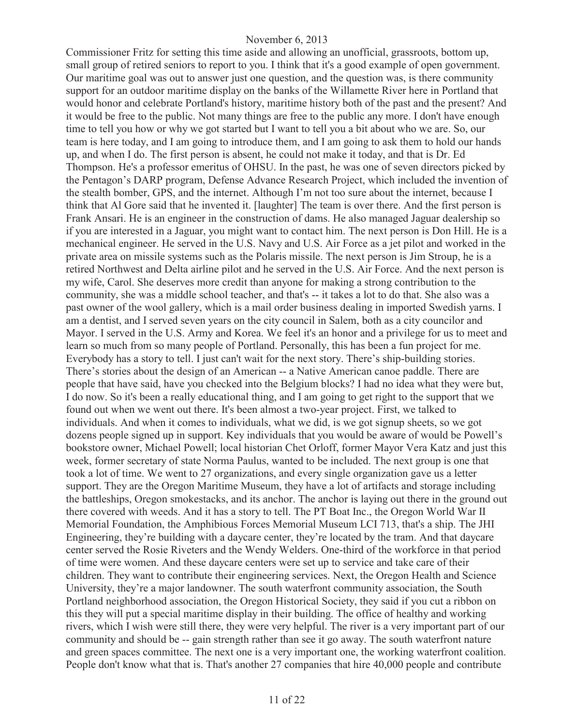Commissioner Fritz for setting this time aside and allowing an unofficial, grassroots, bottom up, small group of retired seniors to report to you. I think that it's a good example of open government. Our maritime goal was out to answer just one question, and the question was, is there community support for an outdoor maritime display on the banks of the Willamette River here in Portland that would honor and celebrate Portland's history, maritime history both of the past and the present? And it would be free to the public. Not many things are free to the public any more. I don't have enough time to tell you how or why we got started but I want to tell you a bit about who we are. So, our team is here today, and I am going to introduce them, and I am going to ask them to hold our hands up, and when I do. The first person is absent, he could not make it today, and that is Dr. Ed Thompson. He's a professor emeritus of OHSU. In the past, he was one of seven directors picked by the Pentagon's DARP program, Defense Advance Research Project, which included the invention of the stealth bomber, GPS, and the internet. Although I'm not too sure about the internet, because I think that Al Gore said that he invented it. [laughter] The team is over there. And the first person is Frank Ansari. He is an engineer in the construction of dams. He also managed Jaguar dealership so if you are interested in a Jaguar, you might want to contact him. The next person is Don Hill. He is a mechanical engineer. He served in the U.S. Navy and U.S. Air Force as a jet pilot and worked in the private area on missile systems such as the Polaris missile. The next person is Jim Stroup, he is a retired Northwest and Delta airline pilot and he served in the U.S. Air Force. And the next person is my wife, Carol. She deserves more credit than anyone for making a strong contribution to the community, she was a middle school teacher, and that's -- it takes a lot to do that. She also was a past owner of the wool gallery, which is a mail order business dealing in imported Swedish yarns. I am a dentist, and I served seven years on the city council in Salem, both as a city councilor and Mayor. I served in the U.S. Army and Korea. We feel it's an honor and a privilege for us to meet and learn so much from so many people of Portland. Personally, this has been a fun project for me. Everybody has a story to tell. I just can't wait for the next story. There's ship-building stories. There's stories about the design of an American -- a Native American canoe paddle. There are people that have said, have you checked into the Belgium blocks? I had no idea what they were but, I do now. So it's been a really educational thing, and I am going to get right to the support that we found out when we went out there. It's been almost a two-year project. First, we talked to individuals. And when it comes to individuals, what we did, is we got signup sheets, so we got dozens people signed up in support. Key individuals that you would be aware of would be Powell's bookstore owner, Michael Powell; local historian Chet Orloff, former Mayor Vera Katz and just this week, former secretary of state Norma Paulus, wanted to be included. The next group is one that took a lot of time. We went to 27 organizations, and every single organization gave us a letter support. They are the Oregon Maritime Museum, they have a lot of artifacts and storage including the battleships, Oregon smokestacks, and its anchor. The anchor is laying out there in the ground out there covered with weeds. And it has a story to tell. The PT Boat Inc., the Oregon World War II Memorial Foundation, the Amphibious Forces Memorial Museum LCI 713, that's a ship. The JHI Engineering, they're building with a daycare center, they're located by the tram. And that daycare center served the Rosie Riveters and the Wendy Welders. One-third of the workforce in that period of time were women. And these daycare centers were set up to service and take care of their children. They want to contribute their engineering services. Next, the Oregon Health and Science University, they're a major landowner. The south waterfront community association, the South Portland neighborhood association, the Oregon Historical Society, they said if you cut a ribbon on this they will put a special maritime display in their building. The office of healthy and working rivers, which I wish were still there, they were very helpful. The river is a very important part of our community and should be -- gain strength rather than see it go away. The south waterfront nature and green spaces committee. The next one is a very important one, the working waterfront coalition. People don't know what that is. That's another 27 companies that hire 40,000 people and contribute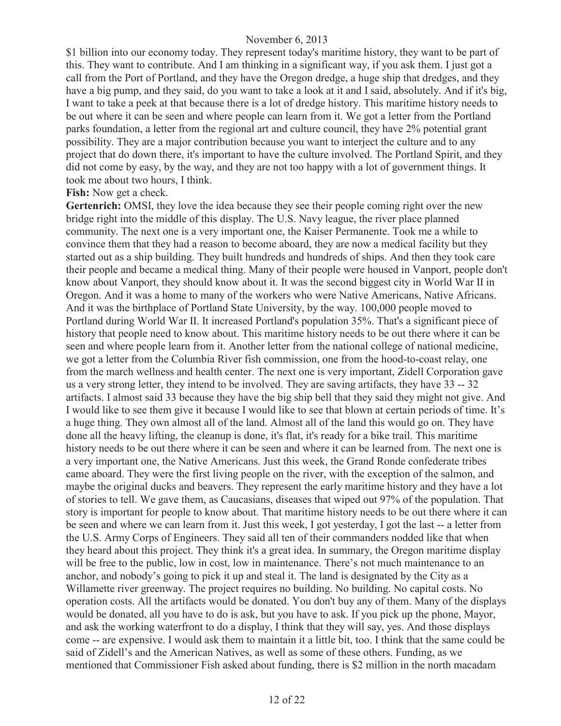\$1 billion into our economy today. They represent today's maritime history, they want to be part of this. They want to contribute. And I am thinking in a significant way, if you ask them. I just got a call from the Port of Portland, and they have the Oregon dredge, a huge ship that dredges, and they have a big pump, and they said, do you want to take a look at it and I said, absolutely. And if it's big, I want to take a peek at that because there is a lot of dredge history. This maritime history needs to be out where it can be seen and where people can learn from it. We got a letter from the Portland parks foundation, a letter from the regional art and culture council, they have 2% potential grant possibility. They are a major contribution because you want to interject the culture and to any project that do down there, it's important to have the culture involved. The Portland Spirit, and they did not come by easy, by the way, and they are not too happy with a lot of government things. It took me about two hours, I think.

#### **Fish:** Now get a check.

**Gertenrich:** OMSI, they love the idea because they see their people coming right over the new bridge right into the middle of this display. The U.S. Navy league, the river place planned community. The next one is a very important one, the Kaiser Permanente. Took me a while to convince them that they had a reason to become aboard, they are now a medical facility but they started out as a ship building. They built hundreds and hundreds of ships. And then they took care their people and became a medical thing. Many of their people were housed in Vanport, people don't know about Vanport, they should know about it. It was the second biggest city in World War II in Oregon. And it was a home to many of the workers who were Native Americans, Native Africans. And it was the birthplace of Portland State University, by the way. 100,000 people moved to Portland during World War II. It increased Portland's population 35%. That's a significant piece of history that people need to know about. This maritime history needs to be out there where it can be seen and where people learn from it. Another letter from the national college of national medicine, we got a letter from the Columbia River fish commission, one from the hood-to-coast relay, one from the march wellness and health center. The next one is very important, Zidell Corporation gave us a very strong letter, they intend to be involved. They are saving artifacts, they have 33 -- 32 artifacts. I almost said 33 because they have the big ship bell that they said they might not give. And I would like to see them give it because I would like to see that blown at certain periods of time. It's a huge thing. They own almost all of the land. Almost all of the land this would go on. They have done all the heavy lifting, the cleanup is done, it's flat, it's ready for a bike trail. This maritime history needs to be out there where it can be seen and where it can be learned from. The next one is a very important one, the Native Americans. Just this week, the Grand Ronde confederate tribes came aboard. They were the first living people on the river, with the exception of the salmon, and maybe the original ducks and beavers. They represent the early maritime history and they have a lot of stories to tell. We gave them, as Caucasians, diseases that wiped out 97% of the population. That story is important for people to know about. That maritime history needs to be out there where it can be seen and where we can learn from it. Just this week, I got yesterday, I got the last -- a letter from the U.S. Army Corps of Engineers. They said all ten of their commanders nodded like that when they heard about this project. They think it's a great idea. In summary, the Oregon maritime display will be free to the public, low in cost, low in maintenance. There's not much maintenance to an anchor, and nobody's going to pick it up and steal it. The land is designated by the City as a Willamette river greenway. The project requires no building. No building. No capital costs. No operation costs. All the artifacts would be donated. You don't buy any of them. Many of the displays would be donated, all you have to do is ask, but you have to ask. If you pick up the phone, Mayor, and ask the working waterfront to do a display, I think that they will say, yes. And those displays come -- are expensive. I would ask them to maintain it a little bit, too. I think that the same could be said of Zidell's and the American Natives, as well as some of these others. Funding, as we mentioned that Commissioner Fish asked about funding, there is \$2 million in the north macadam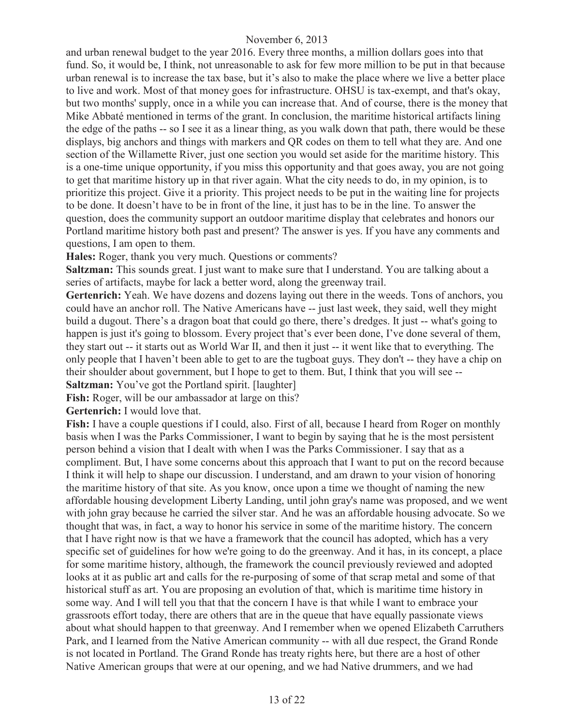and urban renewal budget to the year 2016. Every three months, a million dollars goes into that fund. So, it would be, I think, not unreasonable to ask for few more million to be put in that because urban renewal is to increase the tax base, but it's also to make the place where we live a better place to live and work. Most of that money goes for infrastructure. OHSU is tax-exempt, and that's okay, but two months' supply, once in a while you can increase that. And of course, there is the money that Mike Abbaté mentioned in terms of the grant. In conclusion, the maritime historical artifacts lining the edge of the paths -- so I see it as a linear thing, as you walk down that path, there would be these displays, big anchors and things with markers and QR codes on them to tell what they are. And one section of the Willamette River, just one section you would set aside for the maritime history. This is a one-time unique opportunity, if you miss this opportunity and that goes away, you are not going to get that maritime history up in that river again. What the city needs to do, in my opinion, is to prioritize this project. Give it a priority. This project needs to be put in the waiting line for projects to be done. It doesn't have to be in front of the line, it just has to be in the line. To answer the question, does the community support an outdoor maritime display that celebrates and honors our Portland maritime history both past and present? The answer is yes. If you have any comments and questions, I am open to them.

**Hales:** Roger, thank you very much. Questions or comments?

**Saltzman:** This sounds great. I just want to make sure that I understand. You are talking about a series of artifacts, maybe for lack a better word, along the greenway trail.

Gertenrich: Yeah. We have dozens and dozens laying out there in the weeds. Tons of anchors, you could have an anchor roll. The Native Americans have -- just last week, they said, well they might build a dugout. There's a dragon boat that could go there, there's dredges. It just -- what's going to happen is just it's going to blossom. Every project that's ever been done, I've done several of them, they start out -- it starts out as World War II, and then it just -- it went like that to everything. The only people that I haven't been able to get to are the tugboat guys. They don't -- they have a chip on their shoulder about government, but I hope to get to them. But, I think that you will see --

**Saltzman:** You've got the Portland spirit. [laughter]

Fish: Roger, will be our ambassador at large on this?

**Gertenrich:** I would love that.

**Fish:** I have a couple questions if I could, also. First of all, because I heard from Roger on monthly basis when I was the Parks Commissioner, I want to begin by saying that he is the most persistent person behind a vision that I dealt with when I was the Parks Commissioner. I say that as a compliment. But, I have some concerns about this approach that I want to put on the record because I think it will help to shape our discussion. I understand, and am drawn to your vision of honoring the maritime history of that site. As you know, once upon a time we thought of naming the new affordable housing development Liberty Landing, until john gray's name was proposed, and we went with john gray because he carried the silver star. And he was an affordable housing advocate. So we thought that was, in fact, a way to honor his service in some of the maritime history. The concern that I have right now is that we have a framework that the council has adopted, which has a very specific set of guidelines for how we're going to do the greenway. And it has, in its concept, a place for some maritime history, although, the framework the council previously reviewed and adopted looks at it as public art and calls for the re-purposing of some of that scrap metal and some of that historical stuff as art. You are proposing an evolution of that, which is maritime time history in some way. And I will tell you that that the concern I have is that while I want to embrace your grassroots effort today, there are others that are in the queue that have equally passionate views about what should happen to that greenway. And I remember when we opened Elizabeth Carruthers Park, and I learned from the Native American community -- with all due respect, the Grand Ronde is not located in Portland. The Grand Ronde has treaty rights here, but there are a host of other Native American groups that were at our opening, and we had Native drummers, and we had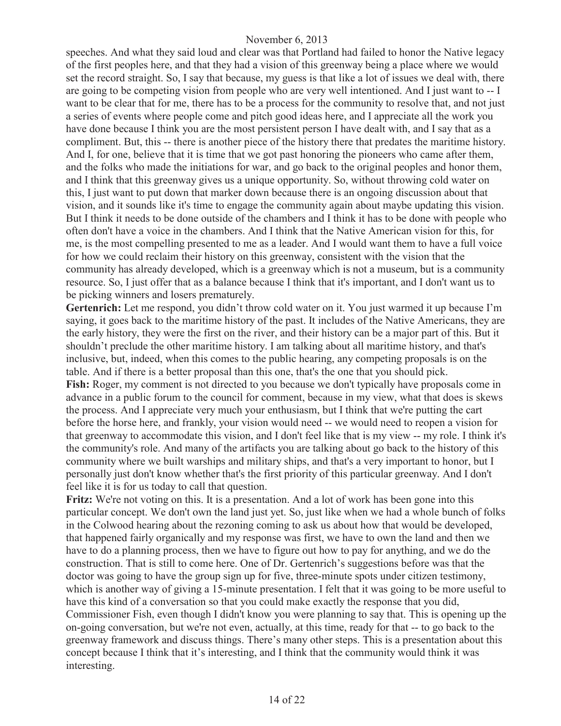speeches. And what they said loud and clear was that Portland had failed to honor the Native legacy of the first peoples here, and that they had a vision of this greenway being a place where we would set the record straight. So, I say that because, my guess is that like a lot of issues we deal with, there are going to be competing vision from people who are very well intentioned. And I just want to -- I want to be clear that for me, there has to be a process for the community to resolve that, and not just a series of events where people come and pitch good ideas here, and I appreciate all the work you have done because I think you are the most persistent person I have dealt with, and I say that as a compliment. But, this -- there is another piece of the history there that predates the maritime history. And I, for one, believe that it is time that we got past honoring the pioneers who came after them, and the folks who made the initiations for war, and go back to the original peoples and honor them, and I think that this greenway gives us a unique opportunity. So, without throwing cold water on this, I just want to put down that marker down because there is an ongoing discussion about that vision, and it sounds like it's time to engage the community again about maybe updating this vision. But I think it needs to be done outside of the chambers and I think it has to be done with people who often don't have a voice in the chambers. And I think that the Native American vision for this, for me, is the most compelling presented to me as a leader. And I would want them to have a full voice for how we could reclaim their history on this greenway, consistent with the vision that the community has already developed, which is a greenway which is not a museum, but is a community resource. So, I just offer that as a balance because I think that it's important, and I don't want us to be picking winners and losers prematurely.

Gertenrich: Let me respond, you didn't throw cold water on it. You just warmed it up because I'm saying, it goes back to the maritime history of the past. It includes of the Native Americans, they are the early history, they were the first on the river, and their history can be a major part of this. But it shouldn't preclude the other maritime history. I am talking about all maritime history, and that's inclusive, but, indeed, when this comes to the public hearing, any competing proposals is on the table. And if there is a better proposal than this one, that's the one that you should pick. **Fish:** Roger, my comment is not directed to you because we don't typically have proposals come in advance in a public forum to the council for comment, because in my view, what that does is skews the process. And I appreciate very much your enthusiasm, but I think that we're putting the cart before the horse here, and frankly, your vision would need -- we would need to reopen a vision for that greenway to accommodate this vision, and I don't feel like that is my view -- my role. I think it's the community's role. And many of the artifacts you are talking about go back to the history of this community where we built warships and military ships, and that's a very important to honor, but I personally just don't know whether that's the first priority of this particular greenway. And I don't feel like it is for us today to call that question.

**Fritz:** We're not voting on this. It is a presentation. And a lot of work has been gone into this particular concept. We don't own the land just yet. So, just like when we had a whole bunch of folks in the Colwood hearing about the rezoning coming to ask us about how that would be developed, that happened fairly organically and my response was first, we have to own the land and then we have to do a planning process, then we have to figure out how to pay for anything, and we do the construction. That is still to come here. One of Dr. Gertenrich's suggestions before was that the doctor was going to have the group sign up for five, three-minute spots under citizen testimony, which is another way of giving a 15-minute presentation. I felt that it was going to be more useful to have this kind of a conversation so that you could make exactly the response that you did, Commissioner Fish, even though I didn't know you were planning to say that. This is opening up the on-going conversation, but we're not even, actually, at this time, ready for that -- to go back to the greenway framework and discuss things. There's many other steps. This is a presentation about this concept because I think that it's interesting, and I think that the community would think it was interesting.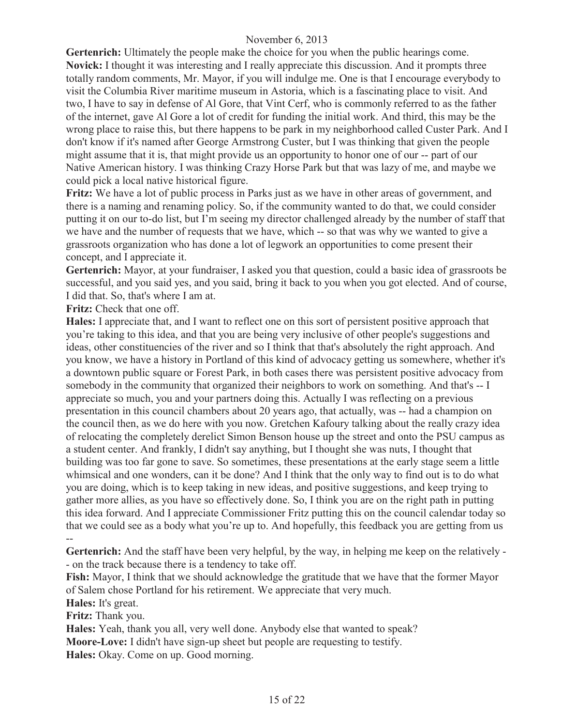**Gertenrich:** Ultimately the people make the choice for you when the public hearings come. **Novick:** I thought it was interesting and I really appreciate this discussion. And it prompts three totally random comments, Mr. Mayor, if you will indulge me. One is that I encourage everybody to visit the Columbia River maritime museum in Astoria, which is a fascinating place to visit. And two, I have to say in defense of Al Gore, that Vint Cerf, who is commonly referred to as the father of the internet, gave Al Gore a lot of credit for funding the initial work. And third, this may be the wrong place to raise this, but there happens to be park in my neighborhood called Custer Park. And I don't know if it's named after George Armstrong Custer, but I was thinking that given the people might assume that it is, that might provide us an opportunity to honor one of our -- part of our Native American history. I was thinking Crazy Horse Park but that was lazy of me, and maybe we could pick a local native historical figure.

**Fritz:** We have a lot of public process in Parks just as we have in other areas of government, and there is a naming and renaming policy. So, if the community wanted to do that, we could consider putting it on our to-do list, but I'm seeing my director challenged already by the number of staff that we have and the number of requests that we have, which -- so that was why we wanted to give a grassroots organization who has done a lot of legwork an opportunities to come present their concept, and I appreciate it.

**Gertenrich:** Mayor, at your fundraiser, I asked you that question, could a basic idea of grassroots be successful, and you said yes, and you said, bring it back to you when you got elected. And of course, I did that. So, that's where I am at.

**Fritz:** Check that one off.

**Hales:** I appreciate that, and I want to reflect one on this sort of persistent positive approach that you're taking to this idea, and that you are being very inclusive of other people's suggestions and ideas, other constituencies of the river and so I think that that's absolutely the right approach. And you know, we have a history in Portland of this kind of advocacy getting us somewhere, whether it's a downtown public square or Forest Park, in both cases there was persistent positive advocacy from somebody in the community that organized their neighbors to work on something. And that's -- I appreciate so much, you and your partners doing this. Actually I was reflecting on a previous presentation in this council chambers about 20 years ago, that actually, was -- had a champion on the council then, as we do here with you now. Gretchen Kafoury talking about the really crazy idea of relocating the completely derelict Simon Benson house up the street and onto the PSU campus as a student center. And frankly, I didn't say anything, but I thought she was nuts, I thought that building was too far gone to save. So sometimes, these presentations at the early stage seem a little whimsical and one wonders, can it be done? And I think that the only way to find out is to do what you are doing, which is to keep taking in new ideas, and positive suggestions, and keep trying to gather more allies, as you have so effectively done. So, I think you are on the right path in putting this idea forward. And I appreciate Commissioner Fritz putting this on the council calendar today so that we could see as a body what you're up to. And hopefully, this feedback you are getting from us --

**Gertenrich:** And the staff have been very helpful, by the way, in helping me keep on the relatively - - on the track because there is a tendency to take off.

**Fish:** Mayor, I think that we should acknowledge the gratitude that we have that the former Mayor of Salem chose Portland for his retirement. We appreciate that very much.

**Hales:** It's great.

**Fritz:** Thank you.

**Hales:** Yeah, thank you all, very well done. Anybody else that wanted to speak?

**Moore-Love:** I didn't have sign-up sheet but people are requesting to testify.

**Hales:** Okay. Come on up. Good morning.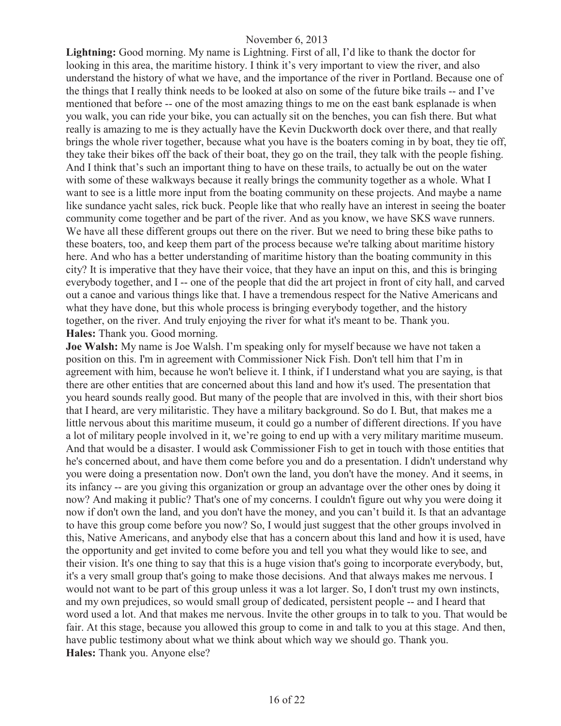**Lightning:** Good morning. My name is Lightning. First of all, I'd like to thank the doctor for looking in this area, the maritime history. I think it's very important to view the river, and also understand the history of what we have, and the importance of the river in Portland. Because one of the things that I really think needs to be looked at also on some of the future bike trails -- and I've mentioned that before -- one of the most amazing things to me on the east bank esplanade is when you walk, you can ride your bike, you can actually sit on the benches, you can fish there. But what really is amazing to me is they actually have the Kevin Duckworth dock over there, and that really brings the whole river together, because what you have is the boaters coming in by boat, they tie off, they take their bikes off the back of their boat, they go on the trail, they talk with the people fishing. And I think that's such an important thing to have on these trails, to actually be out on the water with some of these walkways because it really brings the community together as a whole. What I want to see is a little more input from the boating community on these projects. And maybe a name like sundance yacht sales, rick buck. People like that who really have an interest in seeing the boater community come together and be part of the river. And as you know, we have SKS wave runners. We have all these different groups out there on the river. But we need to bring these bike paths to these boaters, too, and keep them part of the process because we're talking about maritime history here. And who has a better understanding of maritime history than the boating community in this city? It is imperative that they have their voice, that they have an input on this, and this is bringing everybody together, and I -- one of the people that did the art project in front of city hall, and carved out a canoe and various things like that. I have a tremendous respect for the Native Americans and what they have done, but this whole process is bringing everybody together, and the history together, on the river. And truly enjoying the river for what it's meant to be. Thank you. **Hales:** Thank you. Good morning.

**Joe Walsh:** My name is Joe Walsh. I'm speaking only for myself because we have not taken a position on this. I'm in agreement with Commissioner Nick Fish. Don't tell him that I'm in agreement with him, because he won't believe it. I think, if I understand what you are saying, is that there are other entities that are concerned about this land and how it's used. The presentation that you heard sounds really good. But many of the people that are involved in this, with their short bios that I heard, are very militaristic. They have a military background. So do I. But, that makes me a little nervous about this maritime museum, it could go a number of different directions. If you have a lot of military people involved in it, we're going to end up with a very military maritime museum. And that would be a disaster. I would ask Commissioner Fish to get in touch with those entities that he's concerned about, and have them come before you and do a presentation. I didn't understand why you were doing a presentation now. Don't own the land, you don't have the money. And it seems, in its infancy -- are you giving this organization or group an advantage over the other ones by doing it now? And making it public? That's one of my concerns. I couldn't figure out why you were doing it now if don't own the land, and you don't have the money, and you can't build it. Is that an advantage to have this group come before you now? So, I would just suggest that the other groups involved in this, Native Americans, and anybody else that has a concern about this land and how it is used, have the opportunity and get invited to come before you and tell you what they would like to see, and their vision. It's one thing to say that this is a huge vision that's going to incorporate everybody, but, it's a very small group that's going to make those decisions. And that always makes me nervous. I would not want to be part of this group unless it was a lot larger. So, I don't trust my own instincts, and my own prejudices, so would small group of dedicated, persistent people -- and I heard that word used a lot. And that makes me nervous. Invite the other groups in to talk to you. That would be fair. At this stage, because you allowed this group to come in and talk to you at this stage. And then, have public testimony about what we think about which way we should go. Thank you. **Hales:** Thank you. Anyone else?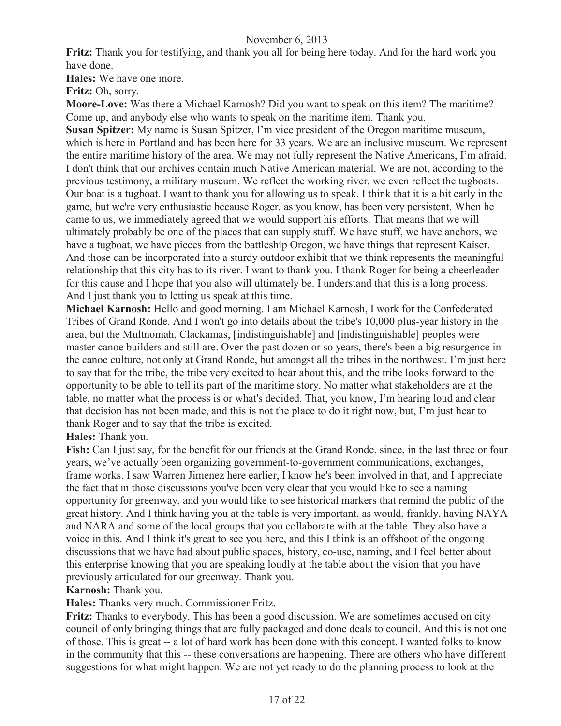**Fritz:** Thank you for testifying, and thank you all for being here today. And for the hard work you have done.

**Hales:** We have one more.

**Fritz:** Oh, sorry.

**Moore-Love:** Was there a Michael Karnosh? Did you want to speak on this item? The maritime? Come up, and anybody else who wants to speak on the maritime item. Thank you.

**Susan Spitzer:** My name is Susan Spitzer, I'm vice president of the Oregon maritime museum, which is here in Portland and has been here for 33 years. We are an inclusive museum. We represent the entire maritime history of the area. We may not fully represent the Native Americans, I'm afraid. I don't think that our archives contain much Native American material. We are not, according to the previous testimony, a military museum. We reflect the working river, we even reflect the tugboats. Our boat is a tugboat. I want to thank you for allowing us to speak. I think that it is a bit early in the game, but we're very enthusiastic because Roger, as you know, has been very persistent. When he came to us, we immediately agreed that we would support his efforts. That means that we will ultimately probably be one of the places that can supply stuff. We have stuff, we have anchors, we have a tugboat, we have pieces from the battleship Oregon, we have things that represent Kaiser. And those can be incorporated into a sturdy outdoor exhibit that we think represents the meaningful relationship that this city has to its river. I want to thank you. I thank Roger for being a cheerleader for this cause and I hope that you also will ultimately be. I understand that this is a long process. And I just thank you to letting us speak at this time.

**Michael Karnosh:** Hello and good morning. I am Michael Karnosh, I work for the Confederated Tribes of Grand Ronde. And I won't go into details about the tribe's 10,000 plus-year history in the area, but the Multnomah, Clackamas, [indistinguishable] and [indistinguishable] peoples were master canoe builders and still are. Over the past dozen or so years, there's been a big resurgence in the canoe culture, not only at Grand Ronde, but amongst all the tribes in the northwest. I'm just here to say that for the tribe, the tribe very excited to hear about this, and the tribe looks forward to the opportunity to be able to tell its part of the maritime story. No matter what stakeholders are at the table, no matter what the process is or what's decided. That, you know, I'm hearing loud and clear that decision has not been made, and this is not the place to do it right now, but, I'm just hear to thank Roger and to say that the tribe is excited.

# **Hales:** Thank you.

**Fish:** Can I just say, for the benefit for our friends at the Grand Ronde, since, in the last three or four years, we've actually been organizing government-to-government communications, exchanges, frame works. I saw Warren Jimenez here earlier, I know he's been involved in that, and I appreciate the fact that in those discussions you've been very clear that you would like to see a naming opportunity for greenway, and you would like to see historical markers that remind the public of the great history. And I think having you at the table is very important, as would, frankly, having NAYA and NARA and some of the local groups that you collaborate with at the table. They also have a voice in this. And I think it's great to see you here, and this I think is an offshoot of the ongoing discussions that we have had about public spaces, history, co-use, naming, and I feel better about this enterprise knowing that you are speaking loudly at the table about the vision that you have previously articulated for our greenway. Thank you.

# **Karnosh:** Thank you.

**Hales:** Thanks very much. Commissioner Fritz.

**Fritz:** Thanks to everybody. This has been a good discussion. We are sometimes accused on city council of only bringing things that are fully packaged and done deals to council. And this is not one of those. This is great -- a lot of hard work has been done with this concept. I wanted folks to know in the community that this -- these conversations are happening. There are others who have different suggestions for what might happen. We are not yet ready to do the planning process to look at the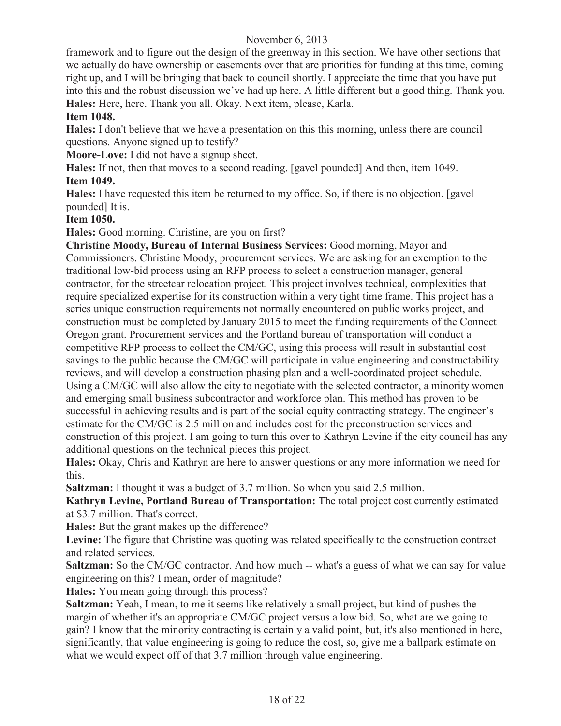framework and to figure out the design of the greenway in this section. We have other sections that we actually do have ownership or easements over that are priorities for funding at this time, coming right up, and I will be bringing that back to council shortly. I appreciate the time that you have put into this and the robust discussion we've had up here. A little different but a good thing. Thank you. **Hales:** Here, here. Thank you all. Okay. Next item, please, Karla.

# **Item 1048.**

**Hales:** I don't believe that we have a presentation on this this morning, unless there are council questions. Anyone signed up to testify?

**Moore-Love:** I did not have a signup sheet.

**Hales:** If not, then that moves to a second reading. [gavel pounded] And then, item 1049. **Item 1049.**

**Hales:** I have requested this item be returned to my office. So, if there is no objection. [gavel pounded] It is.

**Item 1050.**

**Hales:** Good morning. Christine, are you on first?

**Christine Moody, Bureau of Internal Business Services:** Good morning, Mayor and Commissioners. Christine Moody, procurement services. We are asking for an exemption to the traditional low-bid process using an RFP process to select a construction manager, general contractor, for the streetcar relocation project. This project involves technical, complexities that require specialized expertise for its construction within a very tight time frame. This project has a series unique construction requirements not normally encountered on public works project, and construction must be completed by January 2015 to meet the funding requirements of the Connect Oregon grant. Procurement services and the Portland bureau of transportation will conduct a competitive RFP process to collect the CM/GC, using this process will result in substantial cost savings to the public because the CM/GC will participate in value engineering and constructability reviews, and will develop a construction phasing plan and a well-coordinated project schedule. Using a CM/GC will also allow the city to negotiate with the selected contractor, a minority women and emerging small business subcontractor and workforce plan. This method has proven to be successful in achieving results and is part of the social equity contracting strategy. The engineer's estimate for the CM/GC is 2.5 million and includes cost for the preconstruction services and construction of this project. I am going to turn this over to Kathryn Levine if the city council has any additional questions on the technical pieces this project.

**Hales:** Okay, Chris and Kathryn are here to answer questions or any more information we need for this.

**Saltzman:** I thought it was a budget of 3.7 million. So when you said 2.5 million.

**Kathryn Levine, Portland Bureau of Transportation:** The total project cost currently estimated at \$3.7 million. That's correct.

**Hales:** But the grant makes up the difference?

Levine: The figure that Christine was quoting was related specifically to the construction contract and related services.

**Saltzman:** So the CM/GC contractor. And how much -- what's a guess of what we can say for value engineering on this? I mean, order of magnitude?

**Hales:** You mean going through this process?

**Saltzman:** Yeah, I mean, to me it seems like relatively a small project, but kind of pushes the margin of whether it's an appropriate CM/GC project versus a low bid. So, what are we going to gain? I know that the minority contracting is certainly a valid point, but, it's also mentioned in here, significantly, that value engineering is going to reduce the cost, so, give me a ballpark estimate on what we would expect off of that 3.7 million through value engineering.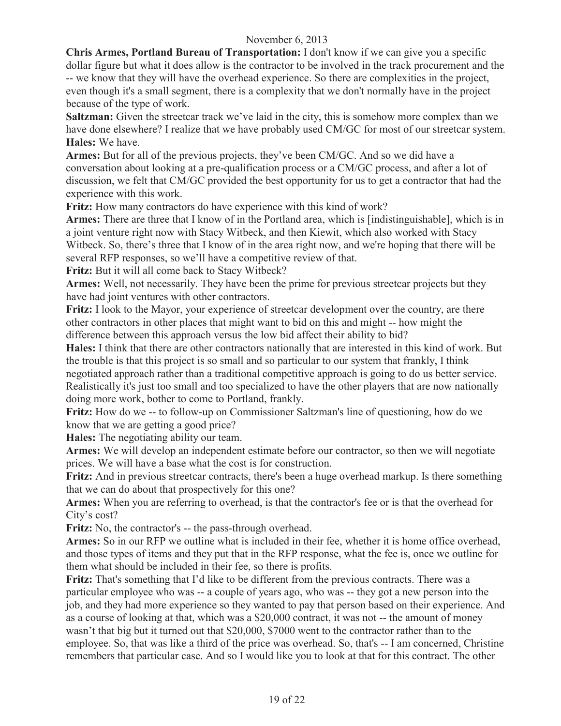**Chris Armes, Portland Bureau of Transportation:** I don't know if we can give you a specific dollar figure but what it does allow is the contractor to be involved in the track procurement and the -- we know that they will have the overhead experience. So there are complexities in the project, even though it's a small segment, there is a complexity that we don't normally have in the project because of the type of work.

**Saltzman:** Given the streetcar track we've laid in the city, this is somehow more complex than we have done elsewhere? I realize that we have probably used CM/GC for most of our streetcar system. **Hales:** We have.

**Armes:** But for all of the previous projects, they've been CM/GC. And so we did have a conversation about looking at a pre-qualification process or a CM/GC process, and after a lot of discussion, we felt that CM/GC provided the best opportunity for us to get a contractor that had the experience with this work.

**Fritz:** How many contractors do have experience with this kind of work?

**Armes:** There are three that I know of in the Portland area, which is [indistinguishable], which is in a joint venture right now with Stacy Witbeck, and then Kiewit, which also worked with Stacy Witbeck. So, there's three that I know of in the area right now, and we're hoping that there will be several RFP responses, so we'll have a competitive review of that.

**Fritz:** But it will all come back to Stacy Witbeck?

**Armes:** Well, not necessarily. They have been the prime for previous streetcar projects but they have had joint ventures with other contractors.

**Fritz:** I look to the Mayor, your experience of streetcar development over the country, are there other contractors in other places that might want to bid on this and might -- how might the difference between this approach versus the low bid affect their ability to bid?

**Hales:** I think that there are other contractors nationally that are interested in this kind of work. But the trouble is that this project is so small and so particular to our system that frankly, I think negotiated approach rather than a traditional competitive approach is going to do us better service. Realistically it's just too small and too specialized to have the other players that are now nationally doing more work, bother to come to Portland, frankly.

**Fritz:** How do we -- to follow-up on Commissioner Saltzman's line of questioning, how do we know that we are getting a good price?

**Hales:** The negotiating ability our team.

**Armes:** We will develop an independent estimate before our contractor, so then we will negotiate prices. We will have a base what the cost is for construction.

**Fritz:** And in previous streetcar contracts, there's been a huge overhead markup. Is there something that we can do about that prospectively for this one?

**Armes:** When you are referring to overhead, is that the contractor's fee or is that the overhead for City's cost?

**Fritz:** No, the contractor's -- the pass-through overhead.

**Armes:** So in our RFP we outline what is included in their fee, whether it is home office overhead, and those types of items and they put that in the RFP response, what the fee is, once we outline for them what should be included in their fee, so there is profits.

**Fritz:** That's something that I'd like to be different from the previous contracts. There was a particular employee who was -- a couple of years ago, who was -- they got a new person into the job, and they had more experience so they wanted to pay that person based on their experience. And as a course of looking at that, which was a \$20,000 contract, it was not -- the amount of money wasn't that big but it turned out that \$20,000, \$7000 went to the contractor rather than to the employee. So, that was like a third of the price was overhead. So, that's -- I am concerned, Christine remembers that particular case. And so I would like you to look at that for this contract. The other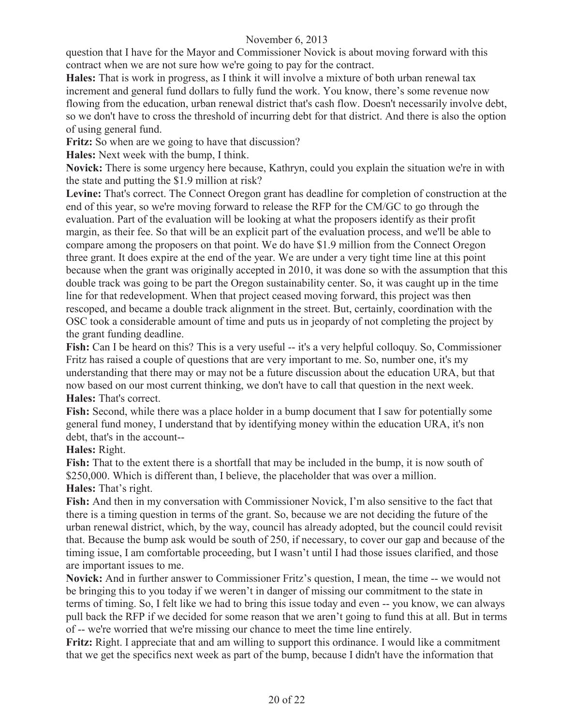question that I have for the Mayor and Commissioner Novick is about moving forward with this contract when we are not sure how we're going to pay for the contract.

**Hales:** That is work in progress, as I think it will involve a mixture of both urban renewal tax increment and general fund dollars to fully fund the work. You know, there's some revenue now flowing from the education, urban renewal district that's cash flow. Doesn't necessarily involve debt, so we don't have to cross the threshold of incurring debt for that district. And there is also the option of using general fund.

Fritz: So when are we going to have that discussion?

**Hales:** Next week with the bump, I think.

**Novick:** There is some urgency here because, Kathryn, could you explain the situation we're in with the state and putting the \$1.9 million at risk?

**Levine:** That's correct. The Connect Oregon grant has deadline for completion of construction at the end of this year, so we're moving forward to release the RFP for the CM/GC to go through the evaluation. Part of the evaluation will be looking at what the proposers identify as their profit margin, as their fee. So that will be an explicit part of the evaluation process, and we'll be able to compare among the proposers on that point. We do have \$1.9 million from the Connect Oregon three grant. It does expire at the end of the year. We are under a very tight time line at this point because when the grant was originally accepted in 2010, it was done so with the assumption that this double track was going to be part the Oregon sustainability center. So, it was caught up in the time line for that redevelopment. When that project ceased moving forward, this project was then rescoped, and became a double track alignment in the street. But, certainly, coordination with the OSC took a considerable amount of time and puts us in jeopardy of not completing the project by the grant funding deadline.

**Fish:** Can I be heard on this? This is a very useful -- it's a very helpful colloquy. So, Commissioner Fritz has raised a couple of questions that are very important to me. So, number one, it's my understanding that there may or may not be a future discussion about the education URA, but that now based on our most current thinking, we don't have to call that question in the next week. **Hales:** That's correct.

**Fish:** Second, while there was a place holder in a bump document that I saw for potentially some general fund money, I understand that by identifying money within the education URA, it's non debt, that's in the account--

# **Hales:** Right.

**Fish:** That to the extent there is a shortfall that may be included in the bump, it is now south of \$250,000. Which is different than, I believe, the placeholder that was over a million.

# **Hales:** That's right.

**Fish:** And then in my conversation with Commissioner Novick, I'm also sensitive to the fact that there is a timing question in terms of the grant. So, because we are not deciding the future of the urban renewal district, which, by the way, council has already adopted, but the council could revisit that. Because the bump ask would be south of 250, if necessary, to cover our gap and because of the timing issue, I am comfortable proceeding, but I wasn't until I had those issues clarified, and those are important issues to me.

**Novick:** And in further answer to Commissioner Fritz's question, I mean, the time -- we would not be bringing this to you today if we weren't in danger of missing our commitment to the state in terms of timing. So, I felt like we had to bring this issue today and even -- you know, we can always pull back the RFP if we decided for some reason that we aren't going to fund this at all. But in terms of -- we're worried that we're missing our chance to meet the time line entirely.

**Fritz:** Right. I appreciate that and am willing to support this ordinance. I would like a commitment that we get the specifics next week as part of the bump, because I didn't have the information that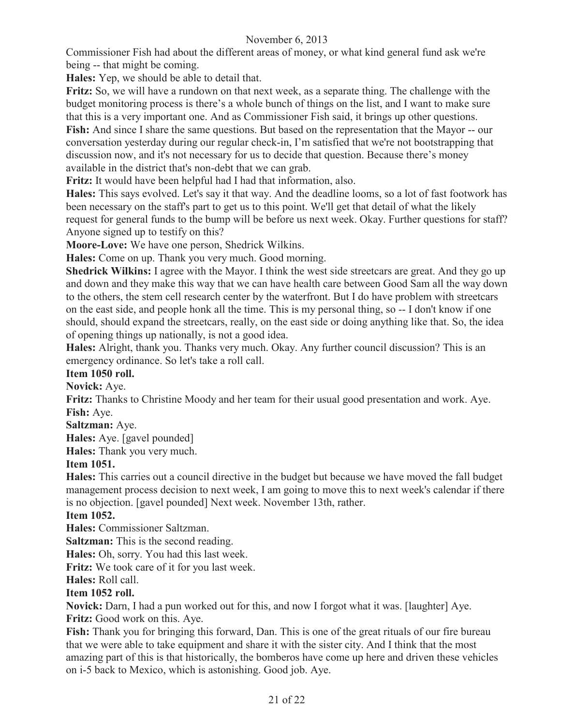Commissioner Fish had about the different areas of money, or what kind general fund ask we're being -- that might be coming.

**Hales:** Yep, we should be able to detail that.

**Fritz:** So, we will have a rundown on that next week, as a separate thing. The challenge with the budget monitoring process is there's a whole bunch of things on the list, and I want to make sure that this is a very important one. And as Commissioner Fish said, it brings up other questions. **Fish:** And since I share the same questions. But based on the representation that the Mayor -- our conversation yesterday during our regular check-in, I'm satisfied that we're not bootstrapping that discussion now, and it's not necessary for us to decide that question. Because there's money

available in the district that's non-debt that we can grab.

**Fritz:** It would have been helpful had I had that information, also.

**Hales:** This says evolved. Let's say it that way. And the deadline looms, so a lot of fast footwork has been necessary on the staff's part to get us to this point. We'll get that detail of what the likely request for general funds to the bump will be before us next week. Okay. Further questions for staff? Anyone signed up to testify on this?

**Moore-Love:** We have one person, Shedrick Wilkins.

**Hales:** Come on up. Thank you very much. Good morning.

**Shedrick Wilkins:** I agree with the Mayor. I think the west side streetcars are great. And they go up and down and they make this way that we can have health care between Good Sam all the way down to the others, the stem cell research center by the waterfront. But I do have problem with streetcars on the east side, and people honk all the time. This is my personal thing, so -- I don't know if one should, should expand the streetcars, really, on the east side or doing anything like that. So, the idea of opening things up nationally, is not a good idea.

**Hales:** Alright, thank you. Thanks very much. Okay. Any further council discussion? This is an emergency ordinance. So let's take a roll call.

# **Item 1050 roll.**

**Novick:** Aye.

**Fritz:** Thanks to Christine Moody and her team for their usual good presentation and work. Aye. **Fish:** Aye.

**Saltzman:** Aye.

**Hales:** Aye. [gavel pounded]

**Hales:** Thank you very much.

# **Item 1051.**

**Hales:** This carries out a council directive in the budget but because we have moved the fall budget management process decision to next week, I am going to move this to next week's calendar if there is no objection. [gavel pounded] Next week. November 13th, rather.

# **Item 1052.**

**Hales:** Commissioner Saltzman.

**Saltzman:** This is the second reading.

**Hales:** Oh, sorry. You had this last week.

**Fritz:** We took care of it for you last week.

# **Hales:** Roll call.

# **Item 1052 roll.**

**Novick:** Darn, I had a pun worked out for this, and now I forgot what it was. [laughter] Aye. **Fritz:** Good work on this. Aye.

**Fish:** Thank you for bringing this forward, Dan. This is one of the great rituals of our fire bureau that we were able to take equipment and share it with the sister city. And I think that the most amazing part of this is that historically, the bomberos have come up here and driven these vehicles on i-5 back to Mexico, which is astonishing. Good job. Aye.